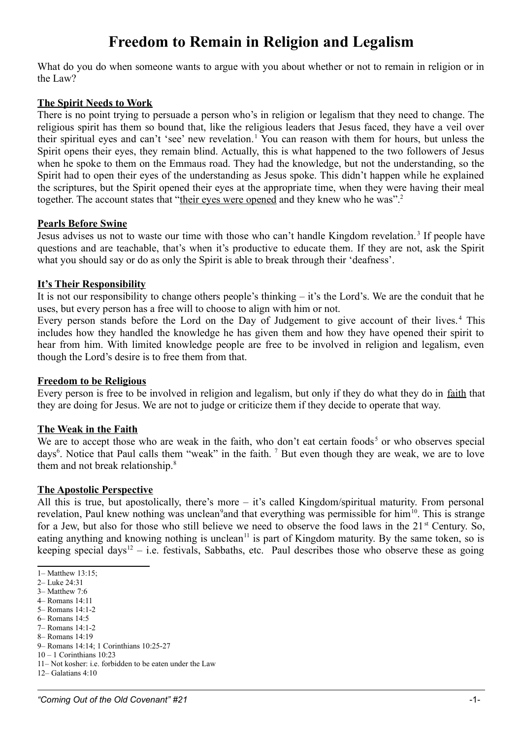# **Freedom to Remain in Religion and Legalism**

What do you do when someone wants to argue with you about whether or not to remain in religion or in the Law?

## **The Spirit Needs to Work**

There is no point trying to persuade a person who's in religion or legalism that they need to change. The religious spirit has them so bound that, like the religious leaders that Jesus faced, they have a veil over their spiritual eyes and can't 'see' new revelation.<sup>[1](#page-0-0)</sup> You can reason with them for hours, but unless the Spirit opens their eyes, they remain blind. Actually, this is what happened to the two followers of Jesus when he spoke to them on the Emmaus road. They had the knowledge, but not the understanding, so the Spirit had to open their eyes of the understanding as Jesus spoke. This didn't happen while he explained the scriptures, but the Spirit opened their eyes at the appropriate time, when they were having their meal together. The account states that "their eyes were opened and they knew who he was".<sup>[2](#page-0-1)</sup>

### **Pearls Before Swine**

Jesus advises us not to waste our time with those who can't handle Kingdom revelation.<sup>[3](#page-0-2)</sup> If people have questions and are teachable, that's when it's productive to educate them. If they are not, ask the Spirit what you should say or do as only the Spirit is able to break through their 'deafness'.

### **It's Their Responsibility**

It is not our responsibility to change others people's thinking – it's the Lord's. We are the conduit that he uses, but every person has a free will to choose to align with him or not.

Every person stands before the Lord on the Day of Judgement to give account of their lives.<sup>[4](#page-0-3)</sup> This includes how they handled the knowledge he has given them and how they have opened their spirit to hear from him. With limited knowledge people are free to be involved in religion and legalism, even though the Lord's desire is to free them from that.

### **Freedom to be Religious**

Every person is free to be involved in religion and legalism, but only if they do what they do in faith that they are doing for Jesus. We are not to judge or criticize them if they decide to operate that way.

### **The Weak in the Faith**

We are to accept those who are weak in the faith, who don't eat certain foods<sup>[5](#page-0-4)</sup> or who observes special days<sup>[6](#page-0-5)</sup>. Notice that Paul calls them "weak" in the faith. <sup>[7](#page-0-6)</sup> But even though they are weak, we are to love them and not break relationship.<sup>[8](#page-0-7)</sup>

#### **The Apostolic Perspective**

All this is true, but apostolically, there's more – it's called Kingdom/spiritual maturity. From personal revelation, Paul knew nothing was unclean<sup>[9](#page-0-8)</sup>and that everything was permissible for him<sup>[10](#page-0-9)</sup>. This is strange for a Jew, but also for those who still believe we need to observe the food laws in the  $21<sup>st</sup>$  Century. So, eating anything and knowing nothing is unclean<sup>[11](#page-0-10)</sup> is part of Kingdom maturity. By the same token, so is keeping special days<sup>[12](#page-0-11)</sup> – i.e. festivals, Sabbaths, etc. Paul describes those who observe these as going

- <span id="page-0-3"></span>4– Romans 14:11
- <span id="page-0-4"></span>5– Romans 14:1-2 6– Romans 14:5

<span id="page-0-0"></span><sup>1–</sup> Matthew 13:15;

<span id="page-0-1"></span><sup>2–</sup> Luke 24:31

<span id="page-0-2"></span><sup>3–</sup> Matthew 7:6

<span id="page-0-6"></span><span id="page-0-5"></span><sup>7–</sup> Romans 14:1-2

<span id="page-0-7"></span><sup>8–</sup> Romans 14:19

<span id="page-0-8"></span><sup>9–</sup> Romans 14:14; 1 Corinthians 10:25-27

<span id="page-0-9"></span><sup>10 – 1</sup> Corinthians 10:23

<span id="page-0-10"></span><sup>11–</sup> Not kosher: i.e. forbidden to be eaten under the Law

<span id="page-0-11"></span><sup>12–</sup> Galatians 4:10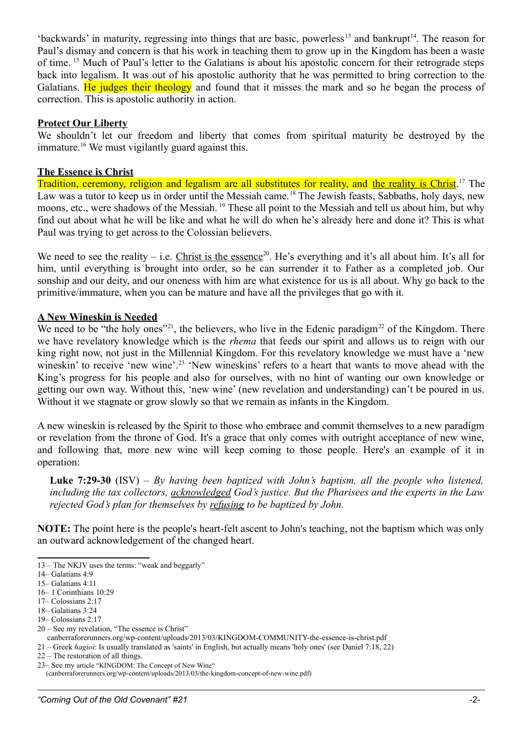'backwards' in maturity, regressing into things that are basic, powerless<sup>[13](#page-1-0)</sup> and bankrupt<sup>[14](#page-1-1)</sup>. The reason for Paul's dismay and concern is that his work in teaching them to grow up in the Kingdom has been a waste of time. [15](#page-1-2) Much of Paul's letter to the Galatians is about his apostolic concern for their retrograde steps back into legalism. It was out of his apostolic authority that he was permitted to bring correction to the Galatians. He judges their theology and found that it misses the mark and so he began the process of correction. This is apostolic authority in action.

### **Protect Our Liberty**

We shouldn't let our freedom and liberty that comes from spiritual maturity be destroyed by the immature.<sup>[16](#page-1-3)</sup> We must vigilantly guard against this.

## **The Essence is Christ**

Tradition, ceremony, religion and legalism are all substitutes for reality, and the reality is Christ.<sup>[17](#page-1-4)</sup> The Law was a tutor to keep us in order until the Messiah came.<sup>[18](#page-1-5)</sup> The Jewish feasts, Sabbaths, holy days, new moons, etc., were shadows of the Messiah. [19](#page-1-6) These all point to the Messiah and tell us about him, but why find out about what he will be like and what he will do when he's already here and done it? This is what Paul was trying to get across to the Colossian believers.

We need to see the reality – i.e. Christ is the essence<sup>[20](#page-1-7)</sup>. He's everything and it's all about him. It's all for him, until everything is brought into order, so he can surrender it to Father as a completed job. Our sonship and our deity, and our oneness with him are what existence for us is all about. Why go back to the primitive/immature, when you can be mature and have all the privileges that go with it.

## **A New Wineskin is Needed**

We need to be "the holy ones"<sup>[21](#page-1-8)</sup>, the believers, who live in the Edenic paradigm<sup>[22](#page-1-9)</sup> of the Kingdom. There we have revelatory knowledge which is the *rhema* that feeds our spirit and allows us to reign with our king right now, not just in the Millennial Kingdom. For this revelatory knowledge we must have a 'new wineskin' to receive 'new wine'.<sup>[23](#page-1-10)</sup> 'New wineskins' refers to a heart that wants to move ahead with the King's progress for his people and also for ourselves, with no hint of wanting our own knowledge or getting our own way. Without this, 'new wine' (new revelation and understanding) can't be poured in us. Without it we stagnate or grow slowly so that we remain as infants in the Kingdom.

A new wineskin is released by the Spirit to those who embrace and commit themselves to a new paradigm or revelation from the throne of God. It's a grace that only comes with outright acceptance of new wine, and following that, more new wine will keep coming to those people. Here's an example of it in operation:

**Luke 7:29-30** (ISV) – *By having been baptized with John's baptism, all the people who listened, including the tax collectors, acknowledged God's justice. But the Pharisees and the experts in the Law rejected God's plan for themselves by refusing to be baptized by John.*

**NOTE:** The point here is the people's heart-felt ascent to John's teaching, not the baptism which was only an outward acknowledgement of the changed heart.

- <span id="page-1-5"></span>18– Galatians 3:24
- <span id="page-1-6"></span>19– Colossians 2:17
- <span id="page-1-7"></span>20 – See my revelation, "The essence is Christ"

canberraforerunners.org/wp-content/uploads/2013/03/KINGDOM-COMMUNITY-the-essence-is-christ.pdf

<span id="page-1-8"></span>21 – Greek *hagioi*: Is usually translated as 'saints' in English, but actually means 'holy ones' (see Daniel 7:18, 22)

- <span id="page-1-9"></span>22 – The restoration of all things.
- <span id="page-1-10"></span>23– See my article "KINGDOM: The Concept of New Wine"

(canberraforerunners.org/wp-content/uploads/2013/03/the-kingdom-concept-of-new-wine.pdf)

<span id="page-1-0"></span><sup>13 –</sup> The NKJV uses the terms: "weak and beggarly"

<span id="page-1-1"></span><sup>14–</sup> Galatians 4:9

<span id="page-1-2"></span><sup>15–</sup> Galatians 4:11

<span id="page-1-3"></span><sup>16– 1</sup> Corinthians 10:29

<span id="page-1-4"></span><sup>17–</sup> Colossians 2:17